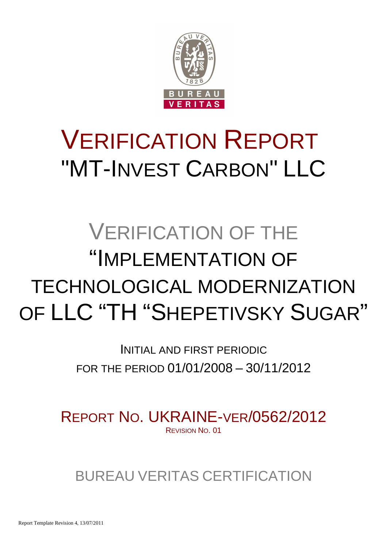

# VERIFICATION REPORT "MT-INVEST CARBON" LLC

# VERIFICATION OF THE "IMPLEMENTATION OF TECHNOLOGICAL MODERNIZATION OF LLC "TH "SHEPETIVSKY SUGAR"

INITIAL AND FIRST PERIODIC FOR THE PERIOD 01/01/2008 – 30/11/2012

REPORT NO. UKRAINE-VER/0562/2012 REVISION NO. 01

BUREAU VERITAS CERTIFICATION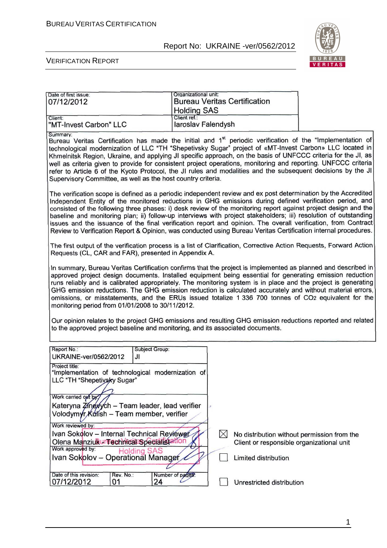

| Date of first issue:<br>07/12/2012                                                                                                                                                                                                                                                                                                                                                                                                                                                                                                                                                                                                                                                                                                                                                                                    | Organizational unit:               |           | <b>Bureau Veritas Certification</b>                                                                              |  |
|-----------------------------------------------------------------------------------------------------------------------------------------------------------------------------------------------------------------------------------------------------------------------------------------------------------------------------------------------------------------------------------------------------------------------------------------------------------------------------------------------------------------------------------------------------------------------------------------------------------------------------------------------------------------------------------------------------------------------------------------------------------------------------------------------------------------------|------------------------------------|-----------|------------------------------------------------------------------------------------------------------------------|--|
| Client:                                                                                                                                                                                                                                                                                                                                                                                                                                                                                                                                                                                                                                                                                                                                                                                                               | <b>Holding SAS</b><br>Client ref.: |           |                                                                                                                  |  |
| "MT-Invest Carbon" LLC                                                                                                                                                                                                                                                                                                                                                                                                                                                                                                                                                                                                                                                                                                                                                                                                | laroslav Falendysh                 |           |                                                                                                                  |  |
| Summary:<br>Bureau Veritas Certification has made the initial and 1 <sup>st</sup> periodic verification of the "Implementation of<br>technological modernization of LLC "TH "Shepetivsky Sugar" project of «MT-Invest Carbon» LLC located in<br>Khmelnitsk Region, Ukraine, and applying JI specific approach, on the basis of UNFCCC criteria for the JI, as<br>well as criteria given to provide for consistent project operations, monitoring and reporting. UNFCCC criteria<br>refer to Article 6 of the Kyoto Protocol, the JI rules and modalities and the subsequent decisions by the JI<br>Supervisory Committee, as well as the host country criteria.                                                                                                                                                       |                                    |           |                                                                                                                  |  |
| The verification scope is defined as a periodic independent review and ex post determination by the Accredited<br>Independent Entity of the monitored reductions in GHG emissions during defined verification period, and<br>consisted of the following three phases: i) desk review of the monitoring report against project design and the<br>baseline and monitoring plan; ii) follow-up interviews with project stakeholders; iii) resolution of outstanding<br>issues and the issuance of the final verification report and opinion. The overall verification, from Contract<br>Review to Verification Report & Opinion, was conducted using Bureau Veritas Certification internal procedures.                                                                                                                   |                                    |           |                                                                                                                  |  |
| The first output of the verification process is a list of Clarification, Corrective Action Requests, Forward Action<br>Requests (CL, CAR and FAR), presented in Appendix A.                                                                                                                                                                                                                                                                                                                                                                                                                                                                                                                                                                                                                                           |                                    |           |                                                                                                                  |  |
| In summary, Bureau Veritas Certification confirms that the project is implemented as planned and described in<br>approved project design documents. Installed equipment being essential for generating emission reduction<br>runs reliably and is calibrated appropriately. The monitoring system is in place and the project is generating<br>GHG emission reductions. The GHG emission reduction is calculated accurately and without material errors,<br>omissions, or misstatements, and the ERUs issued totalize 1 336 700 tonnes of CO2 equivalent for the<br>monitoring period from 01/01/2008 to 30/11/2012.<br>Our opinion relates to the project GHG emissions and resulting GHG emission reductions reported and related<br>to the approved project baseline and monitoring, and its associated documents. |                                    |           |                                                                                                                  |  |
| Report No.:<br>UKRAINE-ver/0562/2012<br>JI                                                                                                                                                                                                                                                                                                                                                                                                                                                                                                                                                                                                                                                                                                                                                                            | Subject Group:                     |           |                                                                                                                  |  |
| Project title:<br>"Implementation of technological modernization of<br>LLC "TH "Shepetivsky Sugar"<br>Work carried out by<br>Kateryna Zingxych - Team leader, lead verifier<br>Volodymyr Kulish - Team member, verifier<br>Work reviewed by:                                                                                                                                                                                                                                                                                                                                                                                                                                                                                                                                                                          |                                    |           |                                                                                                                  |  |
| Ivan Sokolov - Internal Technical Reviewer<br>Olena Manziukur Technical Specialistation<br>Work approved by:<br><b>Holding SAS</b><br>Ivan Sokolov - Operational Manager                                                                                                                                                                                                                                                                                                                                                                                                                                                                                                                                                                                                                                              |                                    | $\bowtie$ | No distribution without permission from the<br>Client or responsible organizational unit<br>Limited distribution |  |
| Date of this revision:<br>Rev. No.:<br>07/12/2012<br>01                                                                                                                                                                                                                                                                                                                                                                                                                                                                                                                                                                                                                                                                                                                                                               | Number of pages.<br>24             |           | Unrestricted distribution                                                                                        |  |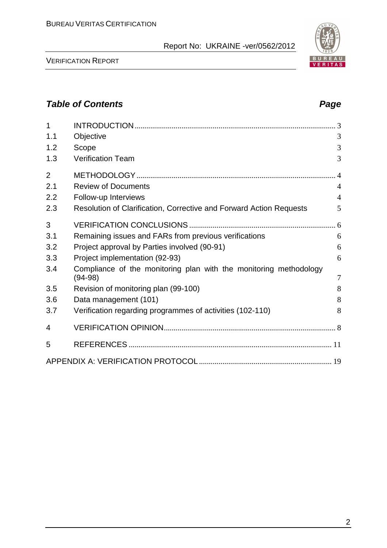

| $\overline{1}$ |                                                                                |                |
|----------------|--------------------------------------------------------------------------------|----------------|
| 1.1            | Objective                                                                      | 3              |
| 1.2            | Scope                                                                          | 3              |
| 1.3            | <b>Verification Team</b>                                                       | 3              |
| $\overline{2}$ |                                                                                |                |
| 2.1            | <b>Review of Documents</b>                                                     | $\overline{4}$ |
| 2.2            | Follow-up Interviews                                                           | $\overline{4}$ |
| 2.3            | Resolution of Clarification, Corrective and Forward Action Requests            | 5              |
| 3              |                                                                                |                |
| 3.1            | Remaining issues and FARs from previous verifications                          | 6              |
| 3.2            | Project approval by Parties involved (90-91)                                   | 6              |
| 3.3            | Project implementation (92-93)                                                 | 6              |
| 3.4            | Compliance of the monitoring plan with the monitoring methodology<br>$(94-98)$ | $\overline{7}$ |
| 3.5            | Revision of monitoring plan (99-100)                                           | 8              |
| 3.6            | Data management (101)                                                          | 8              |
| 3.7            | Verification regarding programmes of activities (102-110)                      | 8              |
| 4              |                                                                                |                |
| 5              |                                                                                |                |
|                |                                                                                |                |

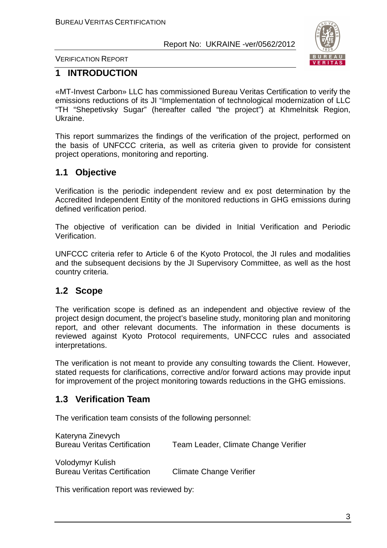

VERIFICATION REPORT

# **1 INTRODUCTION**

«MT-Invest Carbon» LLC has commissioned Bureau Veritas Certification to verify the emissions reductions of its JI "Implementation of technological modernization of LLC "TH "Shepetivsky Sugar" (hereafter called "the project") at Khmelnitsk Region, Ukraine.

This report summarizes the findings of the verification of the project, performed on the basis of UNFCCC criteria, as well as criteria given to provide for consistent project operations, monitoring and reporting.

# **1.1 Objective**

Verification is the periodic independent review and ex post determination by the Accredited Independent Entity of the monitored reductions in GHG emissions during defined verification period.

The objective of verification can be divided in Initial Verification and Periodic Verification.

UNFCCC criteria refer to Article 6 of the Kyoto Protocol, the JI rules and modalities and the subsequent decisions by the JI Supervisory Committee, as well as the host country criteria.

# **1.2 Scope**

The verification scope is defined as an independent and objective review of the project design document, the project's baseline study, monitoring plan and monitoring report, and other relevant documents. The information in these documents is reviewed against Kyoto Protocol requirements, UNFCCC rules and associated interpretations.

The verification is not meant to provide any consulting towards the Client. However, stated requests for clarifications, corrective and/or forward actions may provide input for improvement of the project monitoring towards reductions in the GHG emissions.

# **1.3 Verification Team**

The verification team consists of the following personnel:

| Kateryna Zinevych<br><b>Bureau Veritas Certification</b> | Team Leader, Climate Change Verifier |
|----------------------------------------------------------|--------------------------------------|
| Volodymyr Kulish<br><b>Bureau Veritas Certification</b>  | <b>Climate Change Verifier</b>       |

This verification report was reviewed by: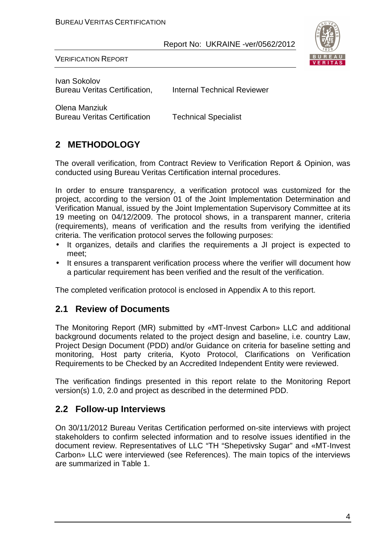

VERIFICATION REPORT

Ivan Sokolov Bureau Veritas Certification. Internal Technical Reviewer

Olena Manziuk Bureau Veritas Certification Technical Specialist

# **2 METHODOLOGY**

The overall verification, from Contract Review to Verification Report & Opinion, was conducted using Bureau Veritas Certification internal procedures.

In order to ensure transparency, a verification protocol was customized for the project, according to the version 01 of the Joint Implementation Determination and Verification Manual, issued by the Joint Implementation Supervisory Committee at its 19 meeting on 04/12/2009. The protocol shows, in a transparent manner, criteria (requirements), means of verification and the results from verifying the identified criteria. The verification protocol serves the following purposes:

- It organizes, details and clarifies the requirements a JI project is expected to meet;
- It ensures a transparent verification process where the verifier will document how a particular requirement has been verified and the result of the verification.

The completed verification protocol is enclosed in Appendix A to this report.

# **2.1 Review of Documents**

The Monitoring Report (MR) submitted by «MT-Invest Carbon» LLC and additional background documents related to the project design and baseline, i.e. country Law, Project Design Document (PDD) and/or Guidance on criteria for baseline setting and monitoring, Host party criteria, Kyoto Protocol, Clarifications on Verification Requirements to be Checked by an Accredited Independent Entity were reviewed.

The verification findings presented in this report relate to the Monitoring Report version(s) 1.0, 2.0 and project as described in the determined PDD.

# **2.2 Follow-up Interviews**

On 30/11/2012 Bureau Veritas Certification performed on-site interviews with project stakeholders to confirm selected information and to resolve issues identified in the document review. Representatives of LLC "TH "Shepetivsky Sugar" and «MT-Invest Carbon» LLC were interviewed (see References). The main topics of the interviews are summarized in Table 1.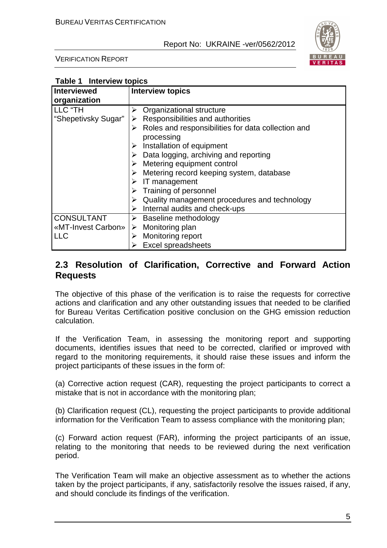

VERIFICATION REPORT

**Table 1 Interview topics** 

| <b>Interviewed</b>  | <b>Interview topics</b>                                 |
|---------------------|---------------------------------------------------------|
| organization        |                                                         |
| LLC "TH             | Organizational structure                                |
| "Shepetivsky Sugar" | Responsibilities and authorities<br>➤                   |
|                     | Roles and responsibilities for data collection and<br>➤ |
|                     | processing                                              |
|                     | Installation of equipment                               |
|                     | $\triangleright$ Data logging, archiving and reporting  |
|                     | $\triangleright$ Metering equipment control             |
|                     | Metering record keeping system, database                |
|                     | IT management<br>➤                                      |
|                     | Training of personnel                                   |
|                     | Quality management procedures and technology            |
|                     | Internal audits and check-ups                           |
| <b>CONSULTANT</b>   | Baseline methodology<br>≻                               |
| «MT-Invest Carbon»  | $\triangleright$ Monitoring plan                        |
| <b>LLC</b>          | <b>Monitoring report</b><br>➤                           |
|                     | <b>Excel spreadsheets</b>                               |

# **2.3 Resolution of Clarification, Corrective and Forward Action Requests**

The objective of this phase of the verification is to raise the requests for corrective actions and clarification and any other outstanding issues that needed to be clarified for Bureau Veritas Certification positive conclusion on the GHG emission reduction calculation.

If the Verification Team, in assessing the monitoring report and supporting documents, identifies issues that need to be corrected, clarified or improved with regard to the monitoring requirements, it should raise these issues and inform the project participants of these issues in the form of:

(a) Corrective action request (CAR), requesting the project participants to correct a mistake that is not in accordance with the monitoring plan;

(b) Clarification request (CL), requesting the project participants to provide additional information for the Verification Team to assess compliance with the monitoring plan;

(c) Forward action request (FAR), informing the project participants of an issue, relating to the monitoring that needs to be reviewed during the next verification period.

The Verification Team will make an objective assessment as to whether the actions taken by the project participants, if any, satisfactorily resolve the issues raised, if any, and should conclude its findings of the verification.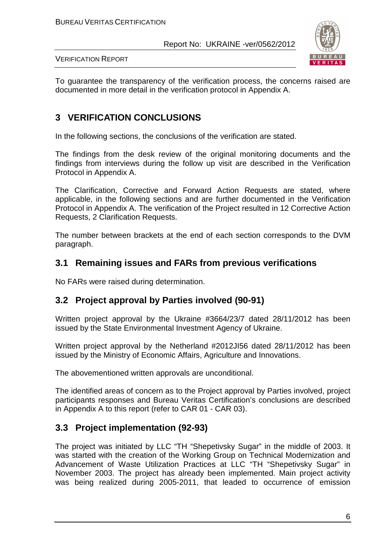

VERIFICATION REPORT

To guarantee the transparency of the verification process, the concerns raised are documented in more detail in the verification protocol in Appendix A.

# **3 VERIFICATION CONCLUSIONS**

In the following sections, the conclusions of the verification are stated.

The findings from the desk review of the original monitoring documents and the findings from interviews during the follow up visit are described in the Verification Protocol in Appendix A.

The Clarification, Corrective and Forward Action Requests are stated, where applicable, in the following sections and are further documented in the Verification Protocol in Appendix A. The verification of the Project resulted in 12 Corrective Action Requests, 2 Clarification Requests.

The number between brackets at the end of each section corresponds to the DVM paragraph.

# **3.1 Remaining issues and FARs from previous verifications**

No FARs were raised during determination.

# **3.2 Project approval by Parties involved (90-91)**

Written project approval by the Ukraine #3664/23/7 dated 28/11/2012 has been issued by the State Environmental Investment Agency of Ukraine.

Written project approval by the Netherland #2012JI56 dated 28/11/2012 has been issued by the Ministry of Economic Affairs, Agriculture and Innovations.

The abovementioned written approvals are unconditional.

The identified areas of concern as to the Project approval by Parties involved, project participants responses and Bureau Veritas Certification's conclusions are described in Appendix A to this report (refer to CAR 01 - CAR 03).

# **3.3 Project implementation (92-93)**

The project was initiated by LLC "TH "Shepetivsky Sugar" in the middle of 2003. It was started with the creation of the Working Group on Technical Modernization and Advancement of Waste Utilization Practices at LLC "TH "Shepetivsky Sugar" in November 2003. The project has already been implemented. Main project activity was being realized during 2005-2011, that leaded to occurrence of emission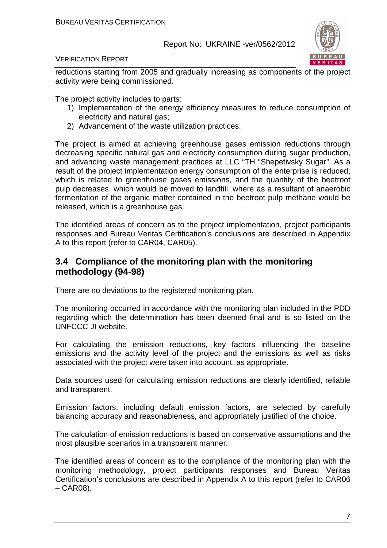

#### VERIFICATION REPORT

reductions starting from 2005 and gradually increasing as components of the project activity were being commissioned.

The project activity includes to parts:

- 1) Implementation of the energy efficiency measures to reduce consumption of electricity and natural gas;
- 2) Advancement of the waste utilization practices.

The project is aimed at achieving greenhouse gases emission reductions through decreasing specific natural gas and electricity consumption during sugar production, and advancing waste management practices at LLC "TH "Shepetivsky Sugar". As a result of the project implementation energy consumption of the enterprise is reduced, which is related to greenhouse gases emissions, and the quantity of the beetroot pulp decreases, which would be moved to landfill, where as a resultant of anaerobic fermentation of the organic matter contained in the beetroot pulp methane would be released, which is a greenhouse gas.

The identified areas of concern as to the project implementation, project participants responses and Bureau Veritas Certification's conclusions are described in Appendix A to this report (refer to CAR04, CAR05).

# **3.4 Compliance of the monitoring plan with the monitoring methodology (94-98)**

There are no deviations to the registered monitoring plan.

The monitoring occurred in accordance with the monitoring plan included in the PDD regarding which the determination has been deemed final and is so listed on the UNFCCC JI website.

For calculating the emission reductions, key factors influencing the baseline emissions and the activity level of the project and the emissions as well as risks associated with the project were taken into account, as appropriate.

Data sources used for calculating emission reductions are clearly identified, reliable and transparent.

Emission factors, including default emission factors, are selected by carefully balancing accuracy and reasonableness, and appropriately justified of the choice.

The calculation of emission reductions is based on conservative assumptions and the most plausible scenarios in a transparent manner.

The identified areas of concern as to the compliance of the monitoring plan with the monitoring methodology, project participants responses and Bureau Veritas Certification's conclusions are described in Appendix A to this report (refer to CAR06  $-$  CAR08).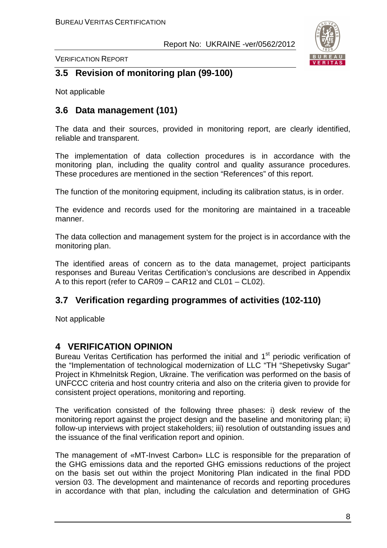

VERIFICATION REPORT

# **3.5 Revision of monitoring plan (99-100)**

Not applicable

# **3.6 Data management (101)**

The data and their sources, provided in monitoring report, are clearly identified, reliable and transparent.

The implementation of data collection procedures is in accordance with the monitoring plan, including the quality control and quality assurance procedures. These procedures are mentioned in the section "References" of this report.

The function of the monitoring equipment, including its calibration status, is in order.

The evidence and records used for the monitoring are maintained in a traceable manner.

The data collection and management system for the project is in accordance with the monitoring plan.

The identified areas of concern as to the data managemet, project participants responses and Bureau Veritas Certification's conclusions are described in Appendix A to this report (refer to CAR09 – CAR12 and CL01 – CL02).

# **3.7 Verification regarding programmes of activities (102-110)**

Not applicable

# **4 VERIFICATION OPINION**

Bureau Veritas Certification has performed the initial and 1<sup>st</sup> periodic verification of the "Implementation of technological modernization of LLC "TH "Shepetivsky Sugar" Project in Khmelnitsk Region, Ukraine. The verification was performed on the basis of UNFCCC criteria and host country criteria and also on the criteria given to provide for consistent project operations, monitoring and reporting.

The verification consisted of the following three phases: i) desk review of the monitoring report against the project design and the baseline and monitoring plan; ii) follow-up interviews with project stakeholders; iii) resolution of outstanding issues and the issuance of the final verification report and opinion.

The management of «MT-Invest Carbon» LLC is responsible for the preparation of the GHG emissions data and the reported GHG emissions reductions of the project on the basis set out within the project Monitoring Plan indicated in the final PDD version 03. The development and maintenance of records and reporting procedures in accordance with that plan, including the calculation and determination of GHG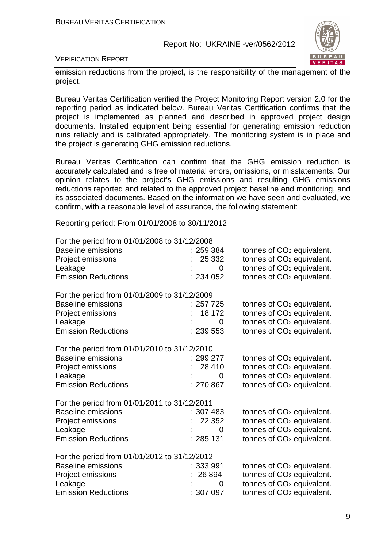

VERIFICATION REPORT

emission reductions from the project, is the responsibility of the management of the project.

Bureau Veritas Certification verified the Project Monitoring Report version 2.0 for the reporting period as indicated below. Bureau Veritas Certification confirms that the project is implemented as planned and described in approved project design documents. Installed equipment being essential for generating emission reduction runs reliably and is calibrated appropriately. The monitoring system is in place and the project is generating GHG emission reductions.

Bureau Veritas Certification can confirm that the GHG emission reduction is accurately calculated and is free of material errors, omissions, or misstatements. Our opinion relates to the project's GHG emissions and resulting GHG emissions reductions reported and related to the approved project baseline and monitoring, and its associated documents. Based on the information we have seen and evaluated, we confirm, with a reasonable level of assurance, the following statement:

Reporting period: From 01/01/2008 to 30/11/2012

| For the period from 01/01/2008 to 31/12/2008 |           |                                       |
|----------------------------------------------|-----------|---------------------------------------|
| <b>Baseline emissions</b>                    | : 259384  | tonnes of CO <sub>2</sub> equivalent. |
| Project emissions                            | 25 332    | tonnes of CO <sub>2</sub> equivalent. |
| Leakage                                      | 0         | tonnes of CO <sub>2</sub> equivalent. |
| <b>Emission Reductions</b>                   | : 234052  | tonnes of CO <sub>2</sub> equivalent. |
| For the period from 01/01/2009 to 31/12/2009 |           |                                       |
| <b>Baseline emissions</b>                    | 257 725   | tonnes of CO <sub>2</sub> equivalent. |
| Project emissions                            | 18 172    | tonnes of CO <sub>2</sub> equivalent. |
| Leakage                                      | 0         | tonnes of CO <sub>2</sub> equivalent. |
| <b>Emission Reductions</b>                   | : 239553  | tonnes of CO <sub>2</sub> equivalent. |
| For the period from 01/01/2010 to 31/12/2010 |           |                                       |
| <b>Baseline emissions</b>                    | : 299277  | tonnes of CO <sub>2</sub> equivalent. |
| Project emissions                            | 28 4 10   | tonnes of CO <sub>2</sub> equivalent. |
| Leakage                                      | 0         | tonnes of CO <sub>2</sub> equivalent. |
| <b>Emission Reductions</b>                   | 270 867   | tonnes of CO <sub>2</sub> equivalent. |
| For the period from 01/01/2011 to 31/12/2011 |           |                                       |
| <b>Baseline emissions</b>                    | : 307483  | tonnes of CO <sub>2</sub> equivalent. |
| Project emissions                            | 22 3 52   | tonnes of CO <sub>2</sub> equivalent. |
| Leakage                                      | 0         | tonnes of CO <sub>2</sub> equivalent. |
| <b>Emission Reductions</b>                   | : 285131  | tonnes of CO <sub>2</sub> equivalent. |
| For the period from 01/01/2012 to 31/12/2012 |           |                                       |
| <b>Baseline emissions</b>                    | : 333991  | tonnes of CO <sub>2</sub> equivalent. |
| Project emissions                            | 26 894    | tonnes of CO <sub>2</sub> equivalent. |
| Leakage                                      | 0         | tonnes of CO <sub>2</sub> equivalent. |
| <b>Emission Reductions</b>                   | : 307 097 | tonnes of CO <sub>2</sub> equivalent. |
|                                              |           |                                       |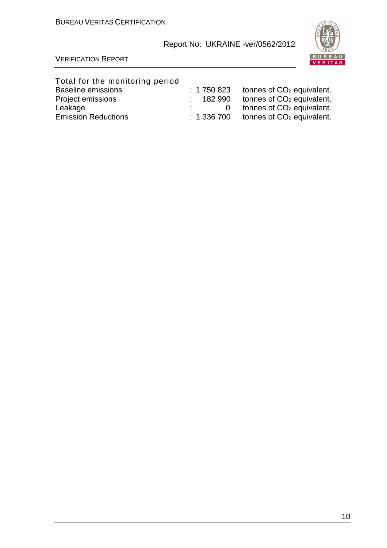

#### VERIFICATION REPORT

# Total for the monitoring period

| <b>Baseline emissions</b>  | : 1750823 | tonnes of CO <sub>2</sub> equivalent. |
|----------------------------|-----------|---------------------------------------|
| Project emissions          | : 182990  | tonnes of CO <sub>2</sub> equivalent. |
| Leakage                    |           | tonnes of CO <sub>2</sub> equivalent. |
| <b>Emission Reductions</b> | : 1336700 | tonnes of CO <sub>2</sub> equivalent. |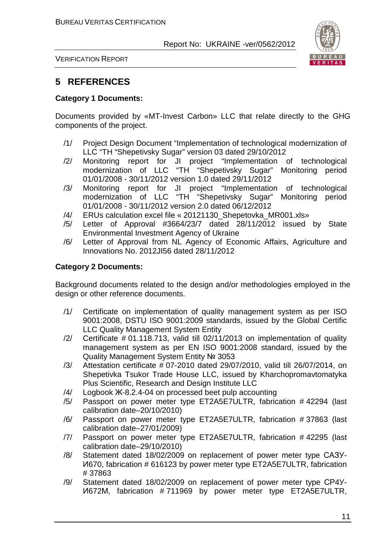

VERIFICATION REPORT

# **5 REFERENCES**

#### **Category 1 Documents:**

Documents provided by «MT-Invest Carbon» LLC that relate directly to the GHG components of the project.

- /1/ Project Design Document "Implementation of technological modernization of LLC "TH "Shepetivsky Sugar" version 03 dated 29/10/2012
- /2/ Monitoring report for JI project "Implementation of technological modernization of LLC "TH "Shepetivsky Sugar" Monitoring period 01/01/2008 - 30/11/2012 version 1.0 dated 29/11/2012
- /3/ Monitoring report for JI project "Implementation of technological modernization of LLC "TH "Shepetivsky Sugar" Monitoring period 01/01/2008 - 30/11/2012 version 2.0 dated 06/12/2012
- /4/ ERUs calculation excel file « 20121130\_Shepetovka\_MR001.xls»
- /5/ Letter of Approval #3664/23/7 dated 28/11/2012 issued by State Environmental Investment Agency of Ukraine
- /6/ Letter of Approval from NL Agency of Economic Affairs, Agriculture and Innovations No. 2012JI56 dated 28/11/2012

#### **Category 2 Documents:**

Background documents related to the design and/or methodologies employed in the design or other reference documents.

- /1/ Certificate on implementation of quality management system as per ISO 9001:2008, DSTU ISO 9001:2009 standards, issued by the Global Certific LLC Quality Management System Entity
- /2/ Certificate # 01.118.713, valid till 02/11/2013 on implementation of quality management system as per EN ISO 9001:2008 standard, issued by the Quality Management System Entity № 3053
- /3/ Attestation certificate # 07-2010 dated 29/07/2010, valid till 26/07/2014, on Shepetivka Tsukor Trade House LLC, issued by Kharchopromavtomatyka Plus Scientific, Research and Design Institute LLC
- /4/ Logbook Ж-8.2.4-04 on processed beet pulp accounting
- /5/ Passport on power meter type ET2A5E7ULTR, fabrication # 42294 (last calibration date–20/10/2010)
- /6/ Passport on power meter type ET2A5E7ULTR, fabrication # 37863 (last calibration date–27/01/2009)
- /7/ Passport on power meter type ET2A5E7ULTR, fabrication # 42295 (last calibration date–29/10/2010)
- /8/ Statement dated 18/02/2009 on replacement of power meter type САЗУ-И670, fabrication # 616123 by power meter type ET2A5E7ULTR, fabrication # 37863
- /9/ Statement dated 18/02/2009 on replacement of power meter type СР4У-И672М, fabrication # 711969 by power meter type ET2A5E7ULTR,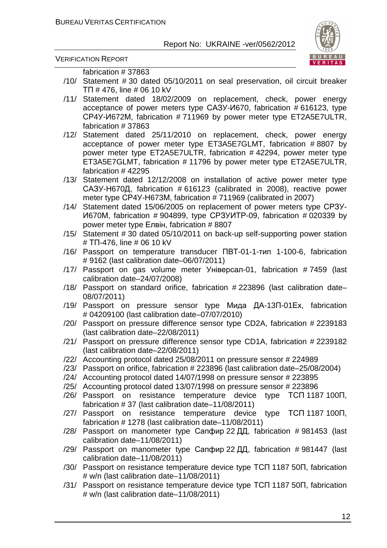

VERIFICATION REPORT

fabrication # 37863

- /10/ Statement # 30 dated 05/10/2011 on seal preservation, oil circuit breaker ТП # 476, line # 06 10 kV
- /11/ Statement dated 18/02/2009 on replacement, check, power energy acceptance of power meters type САЗУ-И670, fabrication # 616123, type СР4У-И672М, fabrication # 711969 by power meter type ET2A5E7ULTR, fabrication # 37863
- /12/ Statement dated 25/11/2010 on replacement, check, power energy acceptance of power meter type ET3A5E7GLMT, fabrication # 8807 by power meter type ET2A5E7ULTR, fabrication # 42294, power meter type ET3A5E7GLMT, fabrication # 11796 by power meter type ET2A5E7ULTR, fabrication # 42295
- /13/ Statement dated 12/12/2008 on installation of active power meter type САЗУ-Н670Д, fabrication # 616123 (calibrated in 2008), reactive power meter type CP4Y-H673M, fabrication # 711969 (calibrated in 2007)
- /14/ Statement dated 15/06/2005 on replacement of power meters type СРЗУ-И670М, fabrication # 904899, type СРЗУИТР-09, fabrication # 020339 by power meter type Елвін, fabrication # 8807
- /15/ Statement # 30 dated 05/10/2011 on back-up self-supporting power station # ТП-476, line # 06 10 kV
- /16/ Passport on temperature transducer ПВТ-01-1-тип 1-100-6, fabrication # 9162 (last calibration date–06/07/2011)
- /17/ Passport on gas volume meter Універсал-01, fabrication # 7459 (last calibration date–24/07/2008)
- /18/ Passport on standard orifice, fabrication # 223896 (last calibration date– 08/07/2011)
- /19/ Passport on pressure sensor type Мида ДА-13П-01Ех, fabrication # 04209100 (last calibration date–07/07/2010)
- /20/ Passport on pressure difference sensor type CD2A, fabrication # 2239183 (last calibration date–22/08/2011)
- /21/ Passport on pressure difference sensor type CD1A, fabrication # 2239182 (last calibration date–22/08/2011)
- /22/ Accounting protocol dated 25/08/2011 on pressure sensor # 224989
- /23/ Passport on orifice, fabrication # 223896 (last calibration date–25/08/2004)
- /24/ Accounting protocol dated 14/07/1998 on pressure sensor # 223895
- /25/ Accounting protocol dated 13/07/1998 on pressure sensor # 223896
- /26/ Passport on resistance temperature device type ТСП 1187 100П, fabrication # 37 (last calibration date–11/08/2011)
- /27/ Passport on resistance temperature device type ТСП 1187 100П, fabrication # 1278 (last calibration date–11/08/2011)
- /28/ Passport on manometer type Сапфир 22 ДД, fabrication # 981453 (last calibration date–11/08/2011)
- /29/ Passport on manometer type Сапфир 22 ДД, fabrication # 981447 (last calibration date–11/08/2011)
- /30/ Passport on resistance temperature device type ТСП 1187 50П, fabrication # w/n (last calibration date–11/08/2011)
- /31/ Passport on resistance temperature device type ТСП 1187 50П, fabrication # w/n (last calibration date–11/08/2011)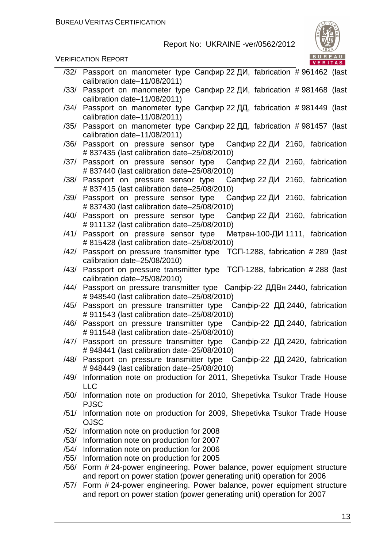

- /32/ Passport on manometer type Сапфир 22 ДИ, fabrication # 961462 (last calibration date–11/08/2011) /33/ Passport on manometer type Сапфир 22 ДИ, fabrication # 981468 (last
- calibration date–11/08/2011) /34/ Passport on manometer type Сапфир 22 ДД, fabrication # 981449 (last calibration date–11/08/2011)
- /35/ Passport on manometer type Сапфир 22 ДД, fabrication # 981457 (last calibration date–11/08/2011)
- /36/ Passport on pressure sensor type Сапфир 22 ДИ 2160, fabrication # 837435 (last calibration date–25/08/2010)
- /37/ Passport on pressure sensor type Сапфир 22 ДИ 2160, fabrication # 837440 (last calibration date–25/08/2010)
- /38/ Passport on pressure sensor type Сапфир 22 ДИ 2160, fabrication # 837415 (last calibration date–25/08/2010)
- /39/ Passport on pressure sensor type Сапфир 22 ДИ 2160, fabrication # 837430 (last calibration date–25/08/2010)
- /40/ Passport on pressure sensor type Сапфир 22 ДИ 2160, fabrication # 911132 (last calibration date–25/08/2010)
- /41/ Passport on pressure sensor type Метран-100-ДИ 1111, fabrication # 815428 (last calibration date–25/08/2010)
- /42/ Passport on pressure transmitter type ТСП-1288, fabrication # 289 (last calibration date–25/08/2010)
- /43/ Passport on pressure transmitter type ТСП-1288, fabrication # 288 (last calibration date–25/08/2010)
- /44/ Passport on pressure transmitter type Сапфір-22 ДДВн 2440, fabrication # 948540 (last calibration date–25/08/2010)
- /45/ Passport on pressure transmitter type Сапфір-22 ДД 2440, fabrication # 911543 (last calibration date–25/08/2010)
- /46/ Passport on pressure transmitter type Сапфір-22 ДД 2440, fabrication # 911548 (last calibration date–25/08/2010)
- /47/ Passport on pressure transmitter type Сапфір-22 ДД 2420, fabrication # 948441 (last calibration date–25/08/2010)
- /48/ Passport on pressure transmitter type Сапфір-22 ДД 2420, fabrication # 948449 (last calibration date–25/08/2010)
- /49/ Information note on production for 2011, Shepetivka Tsukor Trade House LLC
- /50/ Information note on production for 2010, Shepetivka Tsukor Trade House PJSC
- /51/ Information note on production for 2009, Shepetivka Tsukor Trade House OJSC
- /52/ Information note on production for 2008
- /53/ Information note on production for 2007
- /54/ Information note on production for 2006
- /55/ Information note on production for 2005
- /56/ Form # 24-power engineering. Power balance, power equipment structure and report on power station (power generating unit) operation for 2006
- /57/ Form # 24-power engineering. Power balance, power equipment structure and report on power station (power generating unit) operation for 2007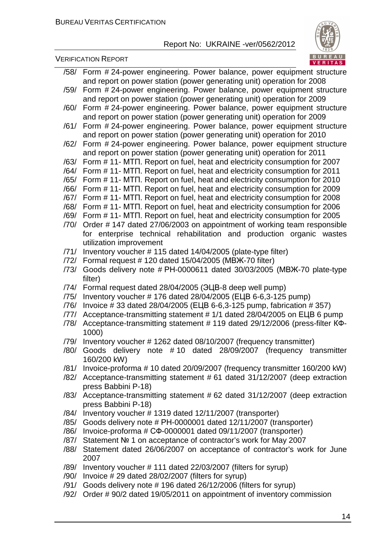



- /58/ Form # 24-power engineering. Power balance, power equipment structure and report on power station (power generating unit) operation for 2008
- /59/ Form # 24-power engineering. Power balance, power equipment structure and report on power station (power generating unit) operation for 2009
- /60/ Form # 24-power engineering. Power balance, power equipment structure and report on power station (power generating unit) operation for 2009
- /61/ Form # 24-power engineering. Power balance, power equipment structure and report on power station (power generating unit) operation for 2010
- /62/ Form # 24-power engineering. Power balance, power equipment structure and report on power station (power generating unit) operation for 2011
- /63/ Form # 11- МТП. Report on fuel, heat and electricity consumption for 2007
- /64/ Form # 11- МТП. Report on fuel, heat and electricity consumption for 2011
- /65/ Form # 11- МТП. Report on fuel, heat and electricity consumption for 2010
- /66/ Form # 11- МТП. Report on fuel, heat and electricity consumption for 2009
- /67/ Form # 11- МТП. Report on fuel, heat and electricity consumption for 2008
- /68/ Form # 11- МТП. Report on fuel, heat and electricity consumption for 2006
- /69/ Form # 11- МТП. Report on fuel, heat and electricity consumption for 2005
- /70/ Order # 147 dated 27/06/2003 on appointment of working team responsible for enterprise technical rehabilitation and production organic wastes utilization improvement
- /71/ Inventory voucher # 115 dated 14/04/2005 (plate-type filter)
- /72/ Formal request # 120 dated 15/04/2005 (МВЖ-70 filter)
- /73/ Goods delivery note # РН-0000611 dated 30/03/2005 (МВЖ-70 plate-type filter)
- /74/ Formal request dated 28/04/2005 (ЭЦВ-8 deep well pump)
- /75/ Inventory voucher # 176 dated 28/04/2005 (ЕЦВ 6-6,3-125 pump)
- /76/ Invoice # 33 dated 28/04/2005 (ЕЦВ 6-6,3-125 pump, fabrication # 357)
- /77/ Acceptance-transmitting statement # 1/1 dated 28/04/2005 on ЕЦВ 6 pump
- /78/ Acceptance-transmitting statement # 119 dated 29/12/2006 (press-filter КФ-1000)
- /79/ Inventory voucher # 1262 dated 08/10/2007 (frequency transmitter)
- /80/ Goods delivery note # 10 dated 28/09/2007 (frequency transmitter 160/200 kW)
- /81/ Invoice-proforma # 10 dated 20/09/2007 (frequency transmitter 160/200 kW)
- /82/ Acceptance-transmitting statement # 61 dated 31/12/2007 (deep extraction press Babbini P-18)
- /83/ Acceptance-transmitting statement # 62 dated 31/12/2007 (deep extraction press Babbini P-18)
- /84/ Inventory voucher # 1319 dated 12/11/2007 (transporter)
- /85/ Goods delivery note # РН-0000001 dated 12/11/2007 (transporter)
- /86/ Invoice-proforma # СФ-0000001 dated 09/11/2007 (transporter)
- /87/ Statement № 1 on acceptance of contractor's work for May 2007
- /88/ Statement dated 26/06/2007 on acceptance of contractor's work for June 2007
- /89/ Inventory voucher # 111 dated 22/03/2007 (filters for syrup)
- /90/ Invoice # 29 dated 28/02/2007 (filters for syrup)
- /91/ Goods delivery note # 196 dated 26/12/2006 (filters for syrup)
- /92/ Order # 90/2 dated 19/05/2011 on appointment of inventory commission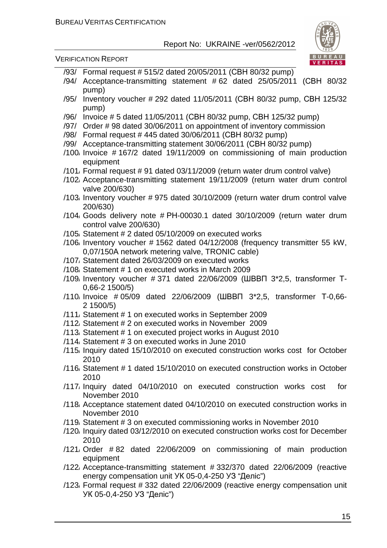

- /93/ Formal request # 515/2 dated 20/05/2011 (СВН 80/32 pump)
- /94/ Acceptance-transmitting statement # 62 dated 25/05/2011 (СВН 80/32 pump)
- /95/ Inventory voucher # 292 dated 11/05/2011 (СВН 80/32 pump, СВН 125/32 pump)
- /96/ Invoice # 5 dated 11/05/2011 (СВН 80/32 pump, СВН 125/32 pump)
- /97/ Order # 98 dated 30/06/2011 on appointment of inventory commission
- /98/ Formal request # 445 dated 30/06/2011 (СВН 80/32 pump)
- /99/ Acceptance-transmitting statement 30/06/2011 (СВН 80/32 pump)
- /100/ Invoice # 167/2 dated 19/11/2009 on commissioning of main production equipment
- /101/ Formal request # 91 dated 03/11/2009 (return water drum control valve)
- /102/ Acceptance-transmitting statement 19/11/2009 (return water drum control valve 200/630)
- /103/ Inventory voucher # 975 dated 30/10/2009 (return water drum control valve 200/630)
- /104/ Goods delivery note # РН-00030.1 dated 30/10/2009 (return water drum control valve 200/630)
- /105/ Statement # 2 dated 05/10/2009 on executed works
- /106/ Inventory voucher # 1562 dated 04/12/2008 (frequency transmitter 55 kW, 0,07/150А network metering valve, TRONIC cable)
- /107/ Statement dated 26/03/2009 on executed works
- /108/ Statement # 1 on executed works in March 2009
- /109/ Inventory voucher # 371 dated 22/06/2009 (ШВВП 3\*2,5, transformer Т-0,66-2 1500/5)
- /110/ Invoice # 05/09 dated 22/06/2009 (ШВВП 3\*2,5, transformer Т-0,66- 2 1500/5)
- /111/ Statement # 1 on executed works in September 2009
- /112/ Statement # 2 on executed works in November 2009
- /113/ Statement # 1 on executed project works in August 2010
- /114/ Statement # 3 on executed works in June 2010
- /115/ Inquiry dated 15/10/2010 on executed construction works cost for October 2010
- /116/ Statement # 1 dated 15/10/2010 on executed construction works in October 2010
- /117/ Inquiry dated 04/10/2010 on executed construction works cost for November 2010
- /118/ Acceptance statement dated 04/10/2010 on executed construction works in November 2010
- /119/ Statement # 3 on executed commissioning works in November 2010
- /120/ Inquiry dated 03/12/2010 on executed construction works cost for December 2010
- /121/ Order # 82 dated 22/06/2009 on commissioning of main production equipment
- /122/ Acceptance-transmitting statement # 332/370 dated 22/06/2009 (reactive energy compensation unit УК 05-0,4-250 УЗ "Деліс")
- /123/ Formal request # 332 dated 22/06/2009 (reactive energy compensation unit УК 05-0,4-250 УЗ "Деліс")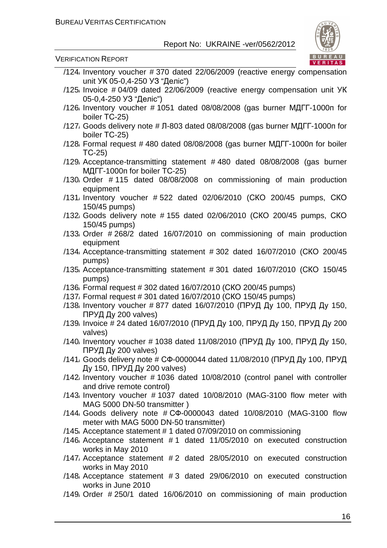

- /124/ Inventory voucher # 370 dated 22/06/2009 (reactive energy compensation unit УК 05-0,4-250 УЗ "Деліс")
- /125/ Invoice # 04/09 dated 22/06/2009 (reactive energy compensation unit УК 05-0,4-250 УЗ "Деліс")
- /126/ Inventory voucher # 1051 dated 08/08/2008 (gas burner МДГГ-1000п for boiler ТС-25)
- /127/ Goods delivery note # Л-803 dated 08/08/2008 (gas burner МДГГ-1000п for boiler ТС-25)
- $/128$ , Formal request # 480 dated 08/08/2008 (gas burner МДГГ-1000п for boiler ТС-25)
- /129/ Acceptance-transmitting statement # 480 dated 08/08/2008 (gas burner МДГГ-1000п for boiler ТС-25)
- /130/ Order # 115 dated 08/08/2008 on commissioning of main production equipment
- /131/ Inventory voucher # 522 dated 02/06/2010 (СКО 200/45 pumps, СКО 150/45 pumps)
- /132/ Goods delivery note # 155 dated 02/06/2010 (СКО 200/45 pumps, СКО 150/45 pumps)
- /133/ Order # 268/2 dated 16/07/2010 on commissioning of main production equipment
- /134/ Acceptance-transmitting statement # 302 dated 16/07/2010 (СКО 200/45 pumps)
- /135/ Acceptance-transmitting statement # 301 dated 16/07/2010 (СКО 150/45 pumps)
- /136/ Formal request # 302 dated 16/07/2010 (СКО 200/45 pumps)
- /137/ Formal request # 301 dated 16/07/2010 (СКО 150/45 pumps)
- /138/ Inventory voucher # 877 dated 16/07/2010 (ПРУД Ду 100, ПРУД Ду 150, ПРУД Ду 200 valves)
- /139/ Invoice # 24 dated 16/07/2010 (ПРУД Ду 100, ПРУД Ду 150, ПРУД Ду 200 valves)
- /140/ Inventory voucher # 1038 dated 11/08/2010 (ПРУД Ду 100, ПРУД Ду 150, ПРУД Ду 200 valves)
- /141/ Goods delivery note # СФ-0000044 dated 11/08/2010 (ПРУД Ду 100, ПРУД Ду 150, ПРУД Ду 200 valves)
- /142/ Inventory voucher # 1036 dated 10/08/2010 (control panel with controller and drive remote control)
- /143/ Inventory voucher # 1037 dated 10/08/2010 (MAG-3100 flow meter with MAG 5000 DN-50 transmitter )
- /144/ Goods delivery note # СФ-0000043 dated 10/08/2010 (MAG-3100 flow meter with MAG 5000 DN-50 transmitter)
- /145/ Acceptance statement # 1 dated 07/09/2010 on commissioning
- /146/ Acceptance statement # 1 dated 11/05/2010 on executed construction works in May 2010
- /147/ Acceptance statement # 2 dated 28/05/2010 on executed construction works in May 2010
- /148/ Acceptance statement # 3 dated 29/06/2010 on executed construction works in June 2010
- /149/ Order # 250/1 dated 16/06/2010 on commissioning of main production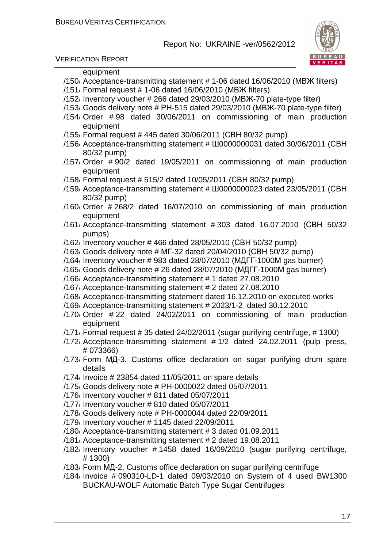

VERIFICATION REPORT

#### equipment

- /150/ Acceptance-transmitting statement # 1-06 dated 16/06/2010 (МВЖ filters)
- /151/ Formal request # 1-06 dated 16/06/2010 (МВЖ filters)
- /152/ Inventory voucher # 266 dated 29/03/2010 (МВЖ-70 plate-type filter)
- /153/ Goods delivery note # РН-515 dated 29/03/2010 (МВЖ-70 plate-type filter)
- /154/ Order # 98 dated 30/06/2011 on commissioning of main production equipment
- /155/ Formal request # 445 dated 30/06/2011 (СВН 80/32 pump)
- /156/ Acceptance-transmitting statement # Ш0000000031 dated 30/06/2011 (СВН 80/32 pump)
- /157/ Order # 90/2 dated 19/05/2011 on commissioning of main production equipment
- /158/ Formal request # 515/2 dated 10/05/2011 (СВН 80/32 pump)
- /159/ Acceptance-transmitting statement # Ш0000000023 dated 23/05/2011 (СВН 80/32 pump)
- /160/ Order # 268/2 dated 16/07/2010 on commissioning of main production equipment
- /161/ Acceptance-transmitting statement # 303 dated 16.07.2010 (СВН 50/32 pumps)
- /162/ Inventory voucher # 466 dated 28/05/2010 (СВН 50/32 pump)
- /163/ Goods delivery note # МГ-32 dated 20/04/2010 (СВН 50/32 pump)
- /164/ Inventory voucher # 983 dated 28/07/2010 (МДГГ-1000М gas burner)
- /165/ Goods delivery note # 26 dated 28/07/2010 (МДГГ-1000М gas burner)
- /166/ Acceptance-transmitting statement # 1 dated 27.08.2010
- /167/ Acceptance-transmitting statement # 2 dated 27.08.2010
- /168/ Acceptance-transmitting statement dated 16.12.2010 on executed works
- /169/ Acceptance-transmitting statement # 2023/1-2 dated 30.12.2010
- /170/ Order # 22 dated 24/02/2011 on commissioning of main production equipment
- /171/ Formal request # 35 dated 24/02/2011 (sugar purifying centrifuge, # 1300)
- /172/ Acceptance-transmitting statement # 1/2 dated 24.02.2011 (pulp press, # 073366)
- /173/ Form МД-3. Customs office declaration on sugar purifying drum spare details
- /174/ Invoice # 23854 dated 11/05/2011 on spare details
- /175/ Goods delivery note # PH-0000022 dated 05/07/2011
- /176/ Inventory voucher # 811 dated 05/07/2011
- /177/ Inventory voucher # 810 dated 05/07/2011
- /178/ Goods delivery note # PH-0000044 dated 22/09/2011
- /179/ Inventory voucher # 1145 dated 22/09/2011
- /180/ Acceptance-transmitting statement # 3 dated 01.09.2011
- /181/ Acceptance-transmitting statement # 2 dated 19.08.2011
- /182/ Inventory voucher # 1458 dated 16/09/2010 (sugar purifying centrifuge, # 1300)
- /183/ Form МД-2. Customs office declaration on sugar purifying centrifuge
- /184/ Invoice # 090310-LD-1 dated 09/03/2010 on System of 4 used BW1300 BUCKAU-WOLF Automatic Batch Type Sugar Centrifuges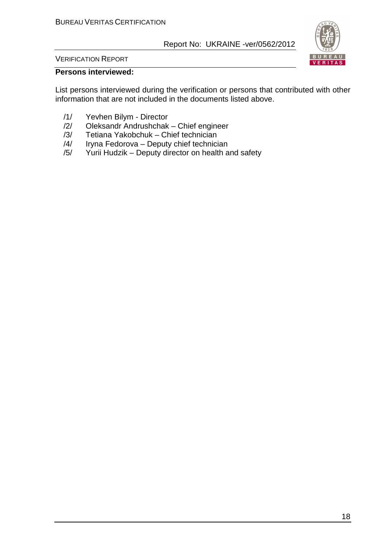

VERIFICATION REPORT

#### **Persons interviewed:**

List persons interviewed during the verification or persons that contributed with other information that are not included in the documents listed above.

- /1/ Yevhen Bilym Director
- $/2$ / Oleksandr Andrushchak Chief engineer<br> $/3$ / Tetiana Yakobchuk Chief technician
- Tetiana Yakobchuk Chief technician
- /4/ Iryna Fedorova Deputy chief technician
- /5/ Yurii Hudzik Deputy director on health and safety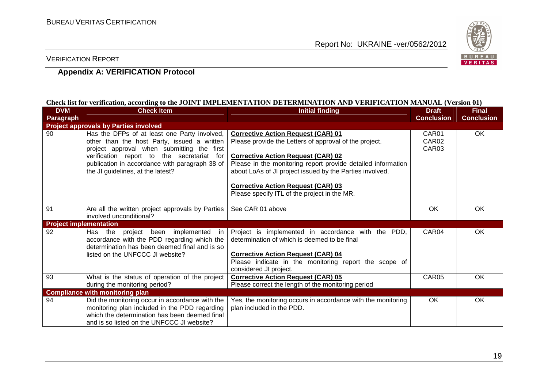

#### VERIFICATION REPORT

#### **Appendix A: VERIFICATION Protocol**

#### **Check list for verification, according to the JOINT IMPLEMENTATION DETERMINATION AND VERIFICATION MANUAL (Version 01)**

| <b>DVM</b>                    | <b>Check Item</b>                                                                                                                                                                                                                                                              | <b>Initial finding</b>                                                                                                                                                                                                                                                                                                                                                    | <b>Draft</b>                                                | <b>Final</b>      |
|-------------------------------|--------------------------------------------------------------------------------------------------------------------------------------------------------------------------------------------------------------------------------------------------------------------------------|---------------------------------------------------------------------------------------------------------------------------------------------------------------------------------------------------------------------------------------------------------------------------------------------------------------------------------------------------------------------------|-------------------------------------------------------------|-------------------|
| Paragraph                     |                                                                                                                                                                                                                                                                                |                                                                                                                                                                                                                                                                                                                                                                           | <b>Conclusion</b>                                           | <b>Conclusion</b> |
|                               | <b>Project approvals by Parties involved</b>                                                                                                                                                                                                                                   |                                                                                                                                                                                                                                                                                                                                                                           |                                                             |                   |
| 90                            | Has the DFPs of at least one Party involved,<br>other than the host Party, issued a written<br>project approval when submitting the first<br>verification report to the secretariat for<br>publication in accordance with paragraph 38 of<br>the JI guidelines, at the latest? | <b>Corrective Action Request (CAR) 01</b><br>Please provide the Letters of approval of the project.<br><b>Corrective Action Request (CAR) 02</b><br>Please in the monitoring report provide detailed information<br>about LoAs of JI project issued by the Parties involved.<br><b>Corrective Action Request (CAR) 03</b><br>Please specify ITL of the project in the MR. | CAR <sub>01</sub><br>CAR <sub>02</sub><br>CAR <sub>03</sub> | OK                |
| 91                            | Are all the written project approvals by Parties<br>involved unconditional?                                                                                                                                                                                                    | See CAR 01 above                                                                                                                                                                                                                                                                                                                                                          | <b>OK</b>                                                   | <b>OK</b>         |
| <b>Project implementation</b> |                                                                                                                                                                                                                                                                                |                                                                                                                                                                                                                                                                                                                                                                           |                                                             |                   |
| 92                            | project been implemented<br>Has the<br>in.<br>accordance with the PDD regarding which the<br>determination has been deemed final and is so<br>listed on the UNFCCC JI website?                                                                                                 | Project is implemented in accordance with the PDD,<br>determination of which is deemed to be final<br><b>Corrective Action Request (CAR) 04</b><br>Please indicate in the monitoring report the scope of<br>considered JI project.                                                                                                                                        | CAR04                                                       | <b>OK</b>         |
| 93                            | What is the status of operation of the project<br>during the monitoring period?                                                                                                                                                                                                | <b>Corrective Action Request (CAR) 05</b><br>Please correct the length of the monitoring period                                                                                                                                                                                                                                                                           | CAR05                                                       | <b>OK</b>         |
|                               | <b>Compliance with monitoring plan</b>                                                                                                                                                                                                                                         |                                                                                                                                                                                                                                                                                                                                                                           |                                                             |                   |
| 94                            | Did the monitoring occur in accordance with the<br>monitoring plan included in the PDD regarding<br>which the determination has been deemed final<br>and is so listed on the UNFCCC JI website?                                                                                | Yes, the monitoring occurs in accordance with the monitoring<br>plan included in the PDD.                                                                                                                                                                                                                                                                                 | OK                                                          | OK                |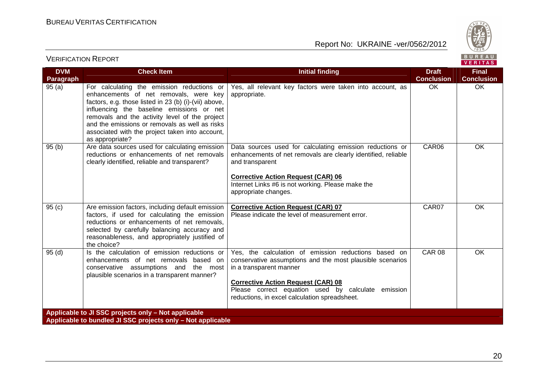

| BUREAU<br><b>VERIFICATION REPORT</b><br>VERITAS |                                                                                                                                                                                                                                                                                                                                                                      |                                                                                                                                                                                                                                                                                                  |                                   |                                   |  |
|-------------------------------------------------|----------------------------------------------------------------------------------------------------------------------------------------------------------------------------------------------------------------------------------------------------------------------------------------------------------------------------------------------------------------------|--------------------------------------------------------------------------------------------------------------------------------------------------------------------------------------------------------------------------------------------------------------------------------------------------|-----------------------------------|-----------------------------------|--|
| <b>DVM</b><br>Paragraph                         | <b>Check Item</b>                                                                                                                                                                                                                                                                                                                                                    | <b>Initial finding</b>                                                                                                                                                                                                                                                                           | <b>Draft</b><br><b>Conclusion</b> | <b>Final</b><br><b>Conclusion</b> |  |
| 95(a)                                           | For calculating the emission reductions or<br>enhancements of net removals, were key<br>factors, e.g. those listed in 23 (b) (i)-(vii) above,<br>influencing the baseline emissions or net<br>removals and the activity level of the project<br>and the emissions or removals as well as risks<br>associated with the project taken into account,<br>as appropriate? | Yes, all relevant key factors were taken into account, as<br>appropriate.                                                                                                                                                                                                                        | OK                                | OK                                |  |
| 95(b)                                           | Are data sources used for calculating emission<br>reductions or enhancements of net removals<br>clearly identified, reliable and transparent?                                                                                                                                                                                                                        | Data sources used for calculating emission reductions or<br>enhancements of net removals are clearly identified, reliable<br>and transparent<br><b>Corrective Action Request (CAR) 06</b><br>Internet Links #6 is not working. Please make the<br>appropriate changes.                           | CAR06                             | <b>OK</b>                         |  |
| 95(c)                                           | Are emission factors, including default emission<br>factors, if used for calculating the emission<br>reductions or enhancements of net removals.<br>selected by carefully balancing accuracy and<br>reasonableness, and appropriately justified of<br>the choice?                                                                                                    | <b>Corrective Action Request (CAR) 07</b><br>Please indicate the level of measurement error.                                                                                                                                                                                                     | CAR07                             | OK                                |  |
| 95(d)                                           | Is the calculation of emission reductions or<br>enhancements of net removals based on<br>conservative assumptions and the most<br>plausible scenarios in a transparent manner?                                                                                                                                                                                       | Yes, the calculation of emission reductions based on<br>conservative assumptions and the most plausible scenarios<br>in a transparent manner<br><b>Corrective Action Request (CAR) 08</b><br>Please correct equation used by calculate emission<br>reductions, in excel calculation spreadsheet. | <b>CAR 08</b>                     | OK                                |  |
|                                                 | Applicable to JI SSC projects only - Not applicable<br>Applicable to bundled JI SSC projects only - Not applicable                                                                                                                                                                                                                                                   |                                                                                                                                                                                                                                                                                                  |                                   |                                   |  |
|                                                 |                                                                                                                                                                                                                                                                                                                                                                      |                                                                                                                                                                                                                                                                                                  |                                   |                                   |  |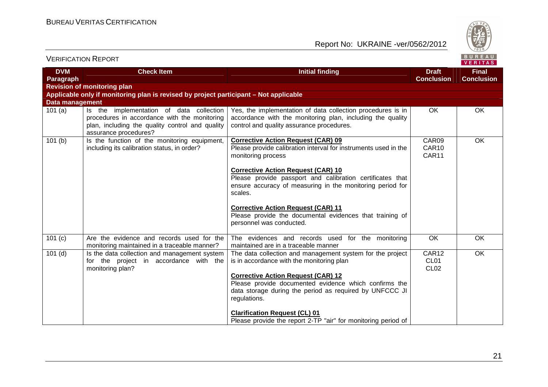

|                         | <b>VERIFICATION REPORT</b>                                                                                                                                           |                                                                                                                                                                                                                                                                                                                                                                                                                                                           |                                               | BUREAU<br>VERITAS                 |
|-------------------------|----------------------------------------------------------------------------------------------------------------------------------------------------------------------|-----------------------------------------------------------------------------------------------------------------------------------------------------------------------------------------------------------------------------------------------------------------------------------------------------------------------------------------------------------------------------------------------------------------------------------------------------------|-----------------------------------------------|-----------------------------------|
| <b>DVM</b><br>Paragraph | <b>Check Item</b>                                                                                                                                                    | <b>Initial finding</b>                                                                                                                                                                                                                                                                                                                                                                                                                                    | <b>Draft</b><br><b>Conclusion</b>             | <b>Final</b><br><b>Conclusion</b> |
|                         | <b>Revision of monitoring plan</b>                                                                                                                                   |                                                                                                                                                                                                                                                                                                                                                                                                                                                           |                                               |                                   |
| <b>Data management</b>  | Applicable only if monitoring plan is revised by project participant – Not applicable                                                                                |                                                                                                                                                                                                                                                                                                                                                                                                                                                           |                                               |                                   |
| 101(a)                  | Is the implementation of data collection<br>procedures in accordance with the monitoring<br>plan, including the quality control and quality<br>assurance procedures? | Yes, the implementation of data collection procedures is in<br>accordance with the monitoring plan, including the quality<br>control and quality assurance procedures.                                                                                                                                                                                                                                                                                    | OK                                            | OK                                |
| 101(b)                  | Is the function of the monitoring equipment,<br>including its calibration status, in order?                                                                          | <b>Corrective Action Request (CAR) 09</b><br>Please provide calibration interval for instruments used in the<br>monitoring process<br><b>Corrective Action Request (CAR) 10</b><br>Please provide passport and calibration certificates that<br>ensure accuracy of measuring in the monitoring period for<br>scales.<br><b>Corrective Action Request (CAR) 11</b><br>Please provide the documental evidences that training of<br>personnel was conducted. | CAR09<br>CAR10<br>CAR11                       | OK                                |
| 101 (c)                 | Are the evidence and records used for the<br>monitoring maintained in a traceable manner?                                                                            | The evidences and records used for the monitoring<br>maintained are in a traceable manner                                                                                                                                                                                                                                                                                                                                                                 | OK                                            | OK                                |
| $101$ (d)               | Is the data collection and management system<br>for the project in accordance with the<br>monitoring plan?                                                           | The data collection and management system for the project<br>is in accordance with the monitoring plan<br><b>Corrective Action Request (CAR) 12</b><br>Please provide documented evidence which confirms the<br>data storage during the period as required by UNFCCC JI<br>regulations.<br><b>Clarification Request (CL) 01</b><br>Please provide the report 2-TP "air" for monitoring period of                                                          | CAR12<br>CL <sub>01</sub><br>CL <sub>02</sub> | OK                                |

21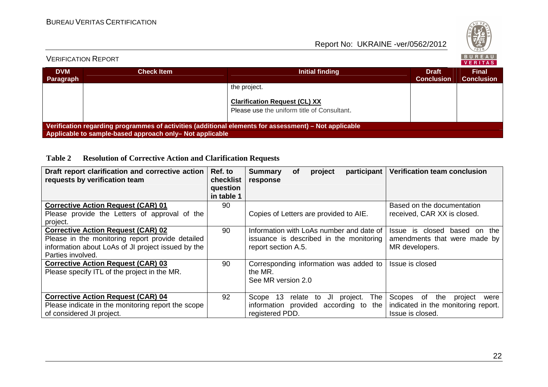

#### BUREAU<br>VERITAS VERIFICATION REPORT**DVMCheck ItemFinalInitial finding the discussion of the Draft School of the Draft School of the Draft School of the Draft School**<br>Initial finding the Draft School of The Draft School of the Draft School of The Draft School of The Draft Sch **Conclusion Conclusion Paragraph** the project. **Clarification Request (CL) XX** Please use the uniform title of Consultant. **Verification regarding programmes of activities (additional elements for assessment) – Not applicable Applicable to sample-based approach only– Not applicable**

#### **Table 2 Resolution of Corrective Action and Clarification Requests**

| Draft report clarification and corrective action<br>requests by verification team | Ref. to<br>checklist<br>question<br>in table 1 | participant<br><b>Summary</b><br>project<br>οf<br>response | Verification team conclusion          |
|-----------------------------------------------------------------------------------|------------------------------------------------|------------------------------------------------------------|---------------------------------------|
| <b>Corrective Action Request (CAR) 01</b>                                         | 90                                             |                                                            | Based on the documentation            |
| Please provide the Letters of approval of the                                     |                                                | Copies of Letters are provided to AIE.                     | received, CAR XX is closed.           |
| project.                                                                          |                                                |                                                            |                                       |
| <b>Corrective Action Request (CAR) 02</b>                                         | 90                                             | Information with LoAs number and date of                   | closed<br>Issue is<br>the<br>based on |
| Please in the monitoring report provide detailed                                  |                                                | issuance is described in the monitoring                    | amendments that were made by          |
| information about LoAs of JI project issued by the                                |                                                | report section A.5.                                        | MR developers.                        |
| Parties involved.                                                                 |                                                |                                                            |                                       |
| <b>Corrective Action Request (CAR) 03</b>                                         | 90                                             | Corresponding information was added to                     | Issue is closed                       |
| Please specify ITL of the project in the MR.                                      |                                                | the MR.                                                    |                                       |
|                                                                                   |                                                | See MR version 2.0                                         |                                       |
|                                                                                   |                                                |                                                            |                                       |
| <b>Corrective Action Request (CAR) 04</b>                                         | 92                                             | - 13<br>The<br>Scope<br>relate<br>JL<br>project.<br>to     | Scopes of<br>the<br>project<br>were   |
| Please indicate in the monitoring report the scope                                |                                                | information provided<br>according to<br>the                | indicated in the monitoring report.   |
| of considered JI project.                                                         |                                                | registered PDD.                                            | Issue is closed.                      |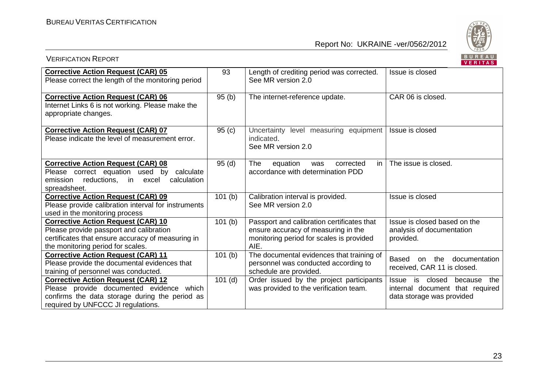

| <b>VERIFICATION REPORT</b>                                                                                                                                                     |                      |                                                                                                                                       | BUREAU<br>VERITAS                                                                                 |
|--------------------------------------------------------------------------------------------------------------------------------------------------------------------------------|----------------------|---------------------------------------------------------------------------------------------------------------------------------------|---------------------------------------------------------------------------------------------------|
| <b>Corrective Action Request (CAR) 05</b><br>Please correct the length of the monitoring period                                                                                | 93                   | Length of crediting period was corrected.<br>See MR version 2.0                                                                       | Issue is closed                                                                                   |
| <b>Corrective Action Request (CAR) 06</b><br>Internet Links 6 is not working. Please make the<br>appropriate changes.                                                          | 95(b)                | The internet-reference update.                                                                                                        | CAR 06 is closed.                                                                                 |
| <b>Corrective Action Request (CAR) 07</b><br>Please indicate the level of measurement error.                                                                                   | 95(c)                | Uncertainty level measuring equipment<br>indicated.<br>See MR version 2.0                                                             | Issue is closed                                                                                   |
| <b>Corrective Action Request (CAR) 08</b><br>Please correct equation used by calculate<br>reductions, in<br>calculation<br>emission<br>excel<br>spreadsheet.                   | 95(d)                | in<br>The<br>equation<br>corrected<br>was<br>accordance with determination PDD                                                        | The issue is closed.                                                                              |
| <b>Corrective Action Request (CAR) 09</b><br>Please provide calibration interval for instruments<br>used in the monitoring process                                             | $\overline{1}01$ (b) | Calibration interval is provided.<br>See MR version 2.0                                                                               | Issue is closed                                                                                   |
| <b>Corrective Action Request (CAR) 10</b><br>Please provide passport and calibration<br>certificates that ensure accuracy of measuring in<br>the monitoring period for scales. | 101(b)               | Passport and calibration certificates that<br>ensure accuracy of measuring in the<br>monitoring period for scales is provided<br>AIE. | Issue is closed based on the<br>analysis of documentation<br>provided.                            |
| <b>Corrective Action Request (CAR) 11</b><br>Please provide the documental evidences that<br>training of personnel was conducted.                                              | 101(b)               | The documental evidences that training of<br>personnel was conducted according to<br>schedule are provided.                           | the<br>documentation<br>Based<br>on<br>received, CAR 11 is closed.                                |
| <b>Corrective Action Request (CAR) 12</b><br>Please provide documented evidence which<br>confirms the data storage during the period as<br>required by UNFCCC JI regulations.  | $101$ (d)            | Order issued by the project participants<br>was provided to the verification team.                                                    | Issue is closed<br>because<br>the<br>internal document that required<br>data storage was provided |